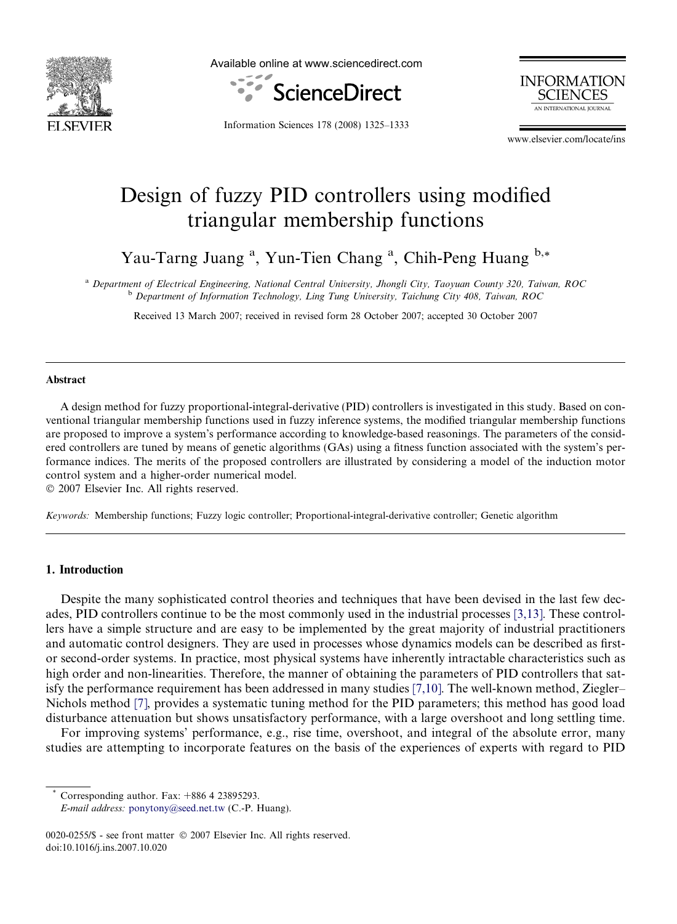

Available online at www.sciencedirect.com



**INFORMATION SCIENCES** AN INTERNATIONAL IOURNAL

Information Sciences 178 (2008) 1325–1333

www.elsevier.com/locate/ins

## Design of fuzzy PID controllers using modified triangular membership functions

Yau-Tarng Juang<sup>a</sup>, Yun-Tien Chang<sup>a</sup>, Chih-Peng Huang b,\*

a Department of Electrical Engineering, National Central University, Jhongli City, Taoyuan County 320, Taiwan, ROC <sup>b</sup> Department of Information Technology, Ling Tung University, Taichung City 408, Taiwan, ROC

Received 13 March 2007; received in revised form 28 October 2007; accepted 30 October 2007

#### Abstract

A design method for fuzzy proportional-integral-derivative (PID) controllers is investigated in this study. Based on conventional triangular membership functions used in fuzzy inference systems, the modified triangular membership functions are proposed to improve a system's performance according to knowledge-based reasonings. The parameters of the considered controllers are tuned by means of genetic algorithms (GAs) using a fitness function associated with the system's performance indices. The merits of the proposed controllers are illustrated by considering a model of the induction motor control system and a higher-order numerical model.

 $© 2007 Elsevier Inc. All rights reserved.$ 

Keywords: Membership functions; Fuzzy logic controller; Proportional-integral-derivative controller; Genetic algorithm

#### 1. Introduction

Despite the many sophisticated control theories and techniques that have been devised in the last few decades, PID controllers continue to be the most commonly used in the industrial processes [\[3,13\]](#page--1-0). These controllers have a simple structure and are easy to be implemented by the great majority of industrial practitioners and automatic control designers. They are used in processes whose dynamics models can be described as firstor second-order systems. In practice, most physical systems have inherently intractable characteristics such as high order and non-linearities. Therefore, the manner of obtaining the parameters of PID controllers that satisfy the performance requirement has been addressed in many studies [\[7,10\].](#page--1-0) The well-known method, Ziegler– Nichols method [\[7\]](#page--1-0), provides a systematic tuning method for the PID parameters; this method has good load disturbance attenuation but shows unsatisfactory performance, with a large overshoot and long settling time.

For improving systems' performance, e.g., rise time, overshoot, and integral of the absolute error, many studies are attempting to incorporate features on the basis of the experiences of experts with regard to PID

Corresponding author. Fax:  $+886$  4 23895293.

E-mail address: [ponytony@seed.net.tw](mailto:ponytony@seed.net.tw) (C.-P. Huang).

<sup>0020-0255/\$ -</sup> see front matter © 2007 Elsevier Inc. All rights reserved. doi:10.1016/j.ins.2007.10.020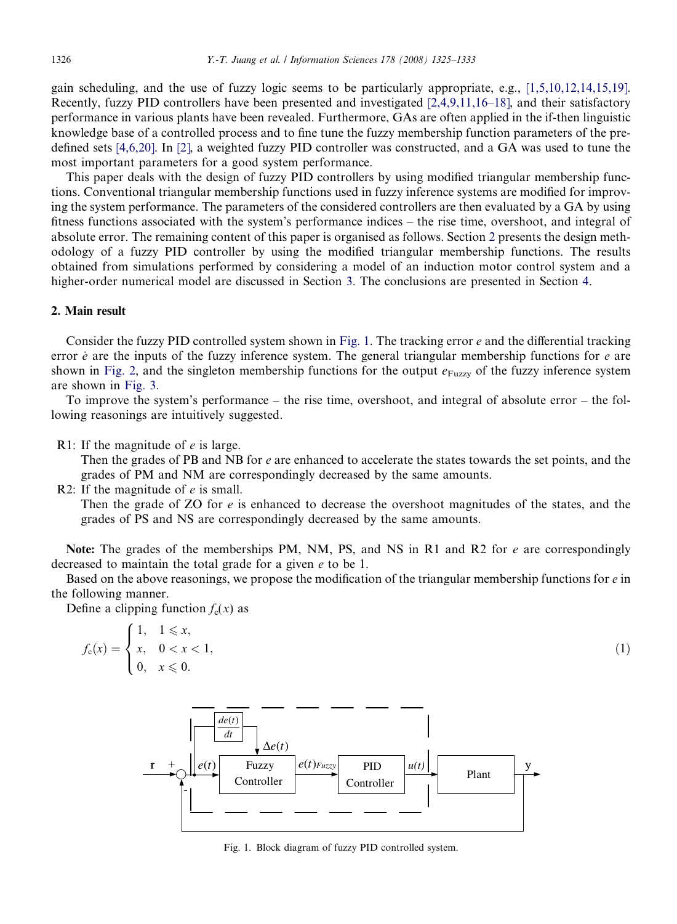gain scheduling, and the use of fuzzy logic seems to be particularly appropriate, e.g., [\[1,5,10,12,14,15,19\].](#page--1-0) Recently, fuzzy PID controllers have been presented and investigated [\[2,4,9,11,16–18\]](#page--1-0), and their satisfactory performance in various plants have been revealed. Furthermore, GAs are often applied in the if-then linguistic knowledge base of a controlled process and to fine tune the fuzzy membership function parameters of the predefined sets [\[4,6,20\]](#page--1-0). In [\[2\],](#page--1-0) a weighted fuzzy PID controller was constructed, and a GA was used to tune the most important parameters for a good system performance.

This paper deals with the design of fuzzy PID controllers by using modified triangular membership functions. Conventional triangular membership functions used in fuzzy inference systems are modified for improving the system performance. The parameters of the considered controllers are then evaluated by a GA by using fitness functions associated with the system's performance indices – the rise time, overshoot, and integral of absolute error. The remaining content of this paper is organised as follows. Section 2 presents the design methodology of a fuzzy PID controller by using the modified triangular membership functions. The results obtained from simulations performed by considering a model of an induction motor control system and a higher-order numerical model are discussed in Section [3.](#page--1-0) The conclusions are presented in Section [4.](#page--1-0)

### 2. Main result

Consider the fuzzy PID controlled system shown in Fig. 1. The tracking error  $e$  and the differential tracking error  $\dot{e}$  are the inputs of the fuzzy inference system. The general triangular membership functions for  $e$  are shown in [Fig. 2,](#page--1-0) and the singleton membership functions for the output  $e_{Fuzzy}$  of the fuzzy inference system are shown in [Fig. 3](#page--1-0).

To improve the system's performance – the rise time, overshoot, and integral of absolute error – the following reasonings are intuitively suggested.

R1: If the magnitude of e is large.

Then the grades of PB and NB for e are enhanced to accelerate the states towards the set points, and the grades of PM and NM are correspondingly decreased by the same amounts.

R2: If the magnitude of  $e$  is small.

Then the grade of  $ZO$  for  $e$  is enhanced to decrease the overshoot magnitudes of the states, and the grades of PS and NS are correspondingly decreased by the same amounts.

Note: The grades of the memberships PM, NM, PS, and NS in R1 and R2 for e are correspondingly decreased to maintain the total grade for a given e to be 1.

Based on the above reasonings, we propose the modification of the triangular membership functions for  $e$  in the following manner.

Define a clipping function  $f_c(x)$  as

$$
f_{c}(x) = \begin{cases} 1, & 1 \leq x, \\ x, & 0 < x < 1, \\ 0, & x \leq 0. \end{cases}
$$
 (1)



Fig. 1. Block diagram of fuzzy PID controlled system.